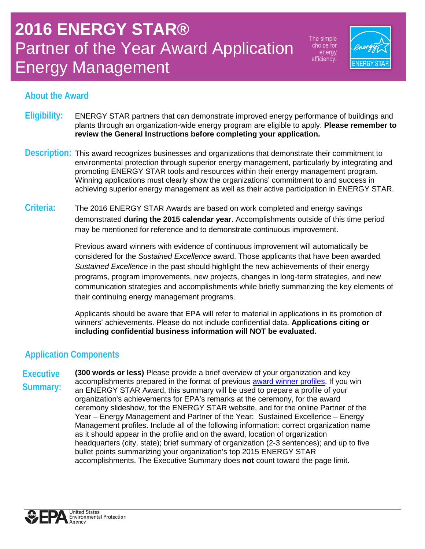The simple choice for energy efficiency.



### **About the Award**

- **Eligibility:** ENERGY STAR partners that can demonstrate improved energy performance of buildings and plants through an organization-wide energy program are eligible to apply. **Please remember to review the General Instructions before completing your application.**
- **Description:** This award recognizes businesses and organizations that demonstrate their commitment to environmental protection through superior energy management, particularly by integrating and promoting ENERGY STAR tools and resources within their energy management program. Winning applications must clearly show the organizations' commitment to and success in achieving superior energy management as well as their active participation in ENERGY STAR.
- **Criteria:** The 2016 ENERGY STAR Awards are based on work completed and energy savings demonstrated **during the 2015 calendar year**. Accomplishments outside of this time period may be mentioned for reference and to demonstrate continuous improvement.

Previous award winners with evidence of continuous improvement will automatically be considered for the *Sustained Excellence* award. Those applicants that have been awarded *Sustained Excellence* in the past should highlight the new achievements of their energy programs, program improvements, new projects, changes in long-term strategies, and new communication strategies and accomplishments while briefly summarizing the key elements of their continuing energy management programs.

Applicants should be aware that EPA will refer to material in applications in its promotion of winners' achievements. Please do not include confidential data. **Applications citing or including confidential business information will NOT be evaluated.**

## **Application Components**

**Executive Summary: (300 words or less)** Please provide a brief overview of your organization and key accomplishments prepared in the format of previous [award winner profiles.](http://www.energystar.gov/about/awards/2015_energy_star_award_winners) If you win an ENERGY STAR Award, this summary will be used to prepare a profile of your organization's achievements for EPA's remarks at the ceremony, for the award ceremony slideshow, for the ENERGY STAR website, and for the online Partner of the Year – Energy Management and Partner of the Year: Sustained Excellence – Energy Management profiles. Include all of the following information: correct organization name as it should appear in the profile and on the award, location of organization headquarters (city, state); brief summary of organization (2-3 sentences); and up to five bullet points summarizing your organization's top 2015 ENERGY STAR accomplishments. The Executive Summary does **not** count toward the page limit.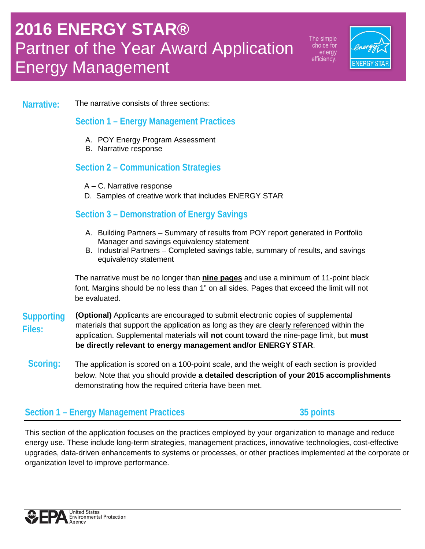The simple choice for energy efficiency.



#### **Narrative:** The narrative consists of three sections:

#### **Section 1 – Energy Management Practices**

- A. POY Energy Program Assessment
- B. Narrative response

#### **Section 2 – Communication Strategies**

- A C. Narrative response
- D. Samples of creative work that includes ENERGY STAR

#### **Section 3 – Demonstration of Energy Savings**

- A. Building Partners Summary of results from POY report generated in Portfolio Manager and savings equivalency statement
- B. Industrial Partners Completed savings table, summary of results, and savings equivalency statement

The narrative must be no longer than **nine pages** and use a minimum of 11-point black font. Margins should be no less than 1" on all sides. Pages that exceed the limit will not be evaluated.

- **Supporting (Optional)** Applicants are encouraged to submit electronic copies of supplemental **Files:** materials that support the application as long as they are clearly referenced within the application. Supplemental materials will **not** count toward the nine-page limit, but **must be directly relevant to energy management and/or ENERGY STAR**.
- **Scoring:** The application is scored on a 100-point scale, and the weight of each section is provided below. Note that you should provide **a detailed description of your 2015 accomplishments** demonstrating how the required criteria have been met.

#### **Section 1 – Energy Management Practices 35 points**

This section of the application focuses on the practices employed by your organization to manage and reduce energy use. These include long-term strategies, management practices, innovative technologies, cost-effective upgrades, data-driven enhancements to systems or processes, or other practices implemented at the corporate or organization level to improve performance.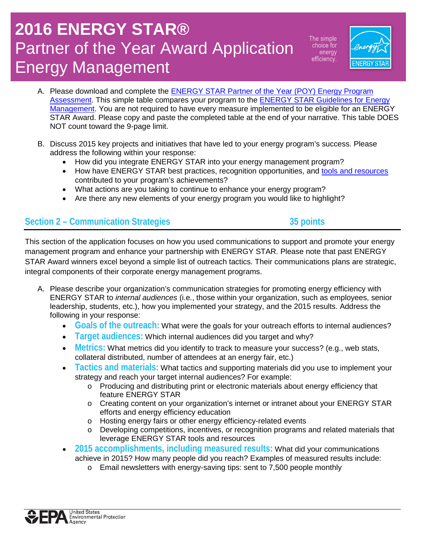The simple choice for energy efficiency.



- A. Please download and complete the [ENERGY STAR Partner of the Year \(POY\) Energy Program](http://www.energystar.gov/assessprogram)  [Assessment.](http://www.energystar.gov/assessprogram) This simple table compares your program to the ENERGY STAR Guidelines for Energy [Management.](http://www.energystar.gov/buildings/about-us/how-can-we-help-you/build-energy-program/guidelines) You are not required to have every measure implemented to be eligible for an ENERGY STAR Award. Please copy and paste the completed table at the end of your narrative. This table DOES NOT count toward the 9-page limit.
- B. Discuss 2015 key projects and initiatives that have led to your energy program's success. Please address the following within your response:
	- How did you integrate ENERGY STAR into your energy management program?
	- How have ENERGY STAR best practices, recognition opportunities, and [tools and resources](http://www.energystar.gov/buildings/tools-and-resources) contributed to your program's achievements?
	- What actions are you taking to continue to enhance your energy program?
	- Are there any new elements of your energy program you would like to highlight?

## **Section 2 – Communication Strategies 35 points**

This section of the application focuses on how you used communications to support and promote your energy management program and enhance your partnership with ENERGY STAR. Please note that past ENERGY STAR Award winners excel beyond a simple list of outreach tactics. Their communications plans are strategic, integral components of their corporate energy management programs.

- A. Please describe your organization's communication strategies for promoting energy efficiency with ENERGY STAR to *internal audiences* (i.e., those within your organization, such as employees, senior leadership, students, etc.), how you implemented your strategy, and the 2015 results. Address the following in your response:
	- **Goals of the outreach:** What were the goals for your outreach efforts to internal audiences?
	- **Target audiences:** Which internal audiences did you target and why?
	- **Metrics:** What metrics did you identify to track to measure your success? (e.g., web stats, collateral distributed, number of attendees at an energy fair, etc.)
	- **Tactics and materials:** What tactics and supporting materials did you use to implement your strategy and reach your target internal audiences? For example:
		- o Producing and distributing print or electronic materials about energy efficiency that feature ENERGY STAR
		- o Creating content on your organization's internet or intranet about your ENERGY STAR efforts and energy efficiency education
		- o Hosting energy fairs or other energy efficiency-related events<br>
		o Developing competitions, incentives, or recognition programs
		- Developing competitions, incentives, or recognition programs and related materials that leverage ENERGY STAR tools and resources
	- **2015 accomplishments, including measured results:** What did your communications achieve in 2015? How many people did you reach? Examples of measured results include:
		- o Email newsletters with energy-saving tips: sent to 7,500 people monthly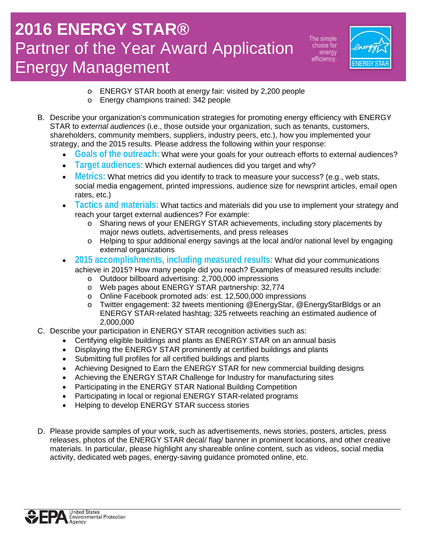The simple choice for energy efficiency.



- o ENERGY STAR booth at energy fair: visited by 2,200 people
- o Energy champions trained: 342 people
- B. Describe your organization's communication strategies for promoting energy efficiency with ENERGY STAR to *external audiences* (i.e., those outside your organization, such as tenants, customers, shareholders, community members, suppliers, industry peers, etc.), how you implemented your strategy, and the 2015 results. Please address the following within your response:
	- **Goals of the outreach:** What were your goals for your outreach efforts to external audiences?
	- **Target audiences:** Which external audiences did you target and why?
	- **Metrics:** What metrics did you identify to track to measure your success? (e.g., web stats, social media engagement, printed impressions, audience size for newsprint articles, email open rates, etc.)
	- **Tactics and materials:** What tactics and materials did you use to implement your strategy and reach your target external audiences? For example:
		- o Sharing news of your ENERGY STAR achievements, including story placements by major news outlets, advertisements, and press releases
		- o Helping to spur additional energy savings at the local and/or national level by engaging external organizations
	- **2015 accomplishments, including measured results:** What did your communications achieve in 2015? How many people did you reach? Examples of measured results include:
		- o Outdoor billboard advertising: 2,700,000 impressions
		- o Web pages about ENERGY STAR partnership: 32,774
		- o Online Facebook promoted ads: est. 12,500,000 impressions
		- o Twitter engagement: 32 tweets mentioning @EnergyStar, @EnergyStarBldgs or an ENERGY STAR-related hashtag; 325 retweets reaching an estimated audience of 2,000,000
- C. Describe your participation in ENERGY STAR recognition activities such as:
	- Certifying eligible buildings and plants as ENERGY STAR on an annual basis
	- Displaying the ENERGY STAR prominently at certified buildings and plants
	- Submitting full profiles for all certified buildings and plants
	- Achieving Designed to Earn the ENERGY STAR for new commercial building designs
	- Achieving the ENERGY STAR Challenge for Industry for manufacturing sites
	- Participating in the ENERGY STAR National Building Competition
	- Participating in local or regional ENERGY STAR-related programs
	- Helping to develop ENERGY STAR success stories
- D. Please provide samples of your work, such as advertisements, news stories, posters, articles, press releases, photos of the ENERGY STAR decal/ flag/ banner in prominent locations, and other creative materials. In particular, please highlight any shareable online content, such as videos, social media activity, dedicated web pages, energy-saving guidance promoted online, etc.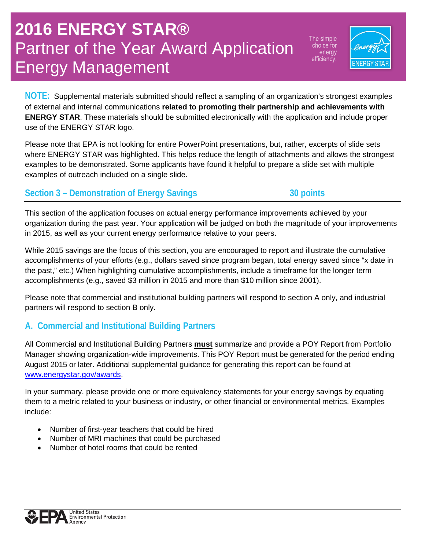The simple choice for energy efficiency.



**NOTE:** Supplemental materials submitted should reflect a sampling of an organization's strongest examples of external and internal communications **related to promoting their partnership and achievements with ENERGY STAR**. These materials should be submitted electronically with the application and include proper use of the ENERGY STAR logo.

Please note that EPA is not looking for entire PowerPoint presentations, but, rather, excerpts of slide sets where ENERGY STAR was highlighted. This helps reduce the length of attachments and allows the strongest examples to be demonstrated. Some applicants have found it helpful to prepare a slide set with multiple examples of outreach included on a single slide.

### Section 3 – Demonstration of Energy Savings **30** points

This section of the application focuses on actual energy performance improvements achieved by your organization during the past year. Your application will be judged on both the magnitude of your improvements in 2015, as well as your current energy performance relative to your peers.

While 2015 savings are the focus of this section, you are encouraged to report and illustrate the cumulative accomplishments of your efforts (e.g., dollars saved since program began, total energy saved since "x date in the past," etc.) When highlighting cumulative accomplishments, include a timeframe for the longer term accomplishments (e.g., saved \$3 million in 2015 and more than \$10 million since 2001).

Please note that commercial and institutional building partners will respond to section A only, and industrial partners will respond to section B only.

## **A. Commercial and Institutional Building Partners**

All Commercial and Institutional Building Partners **must** summarize and provide a POY Report from Portfolio Manager showing organization-wide improvements. This POY Report must be generated for the period ending August 2015 or later. Additional supplemental guidance for generating this report can be found at [www.energystar.gov/awards.](http://www.energystar.gov/awards)

In your summary, please provide one or more equivalency statements for your energy savings by equating them to a metric related to your business or industry, or other financial or environmental metrics. Examples include:

- Number of first-year teachers that could be hired
- Number of MRI machines that could be purchased
- Number of hotel rooms that could be rented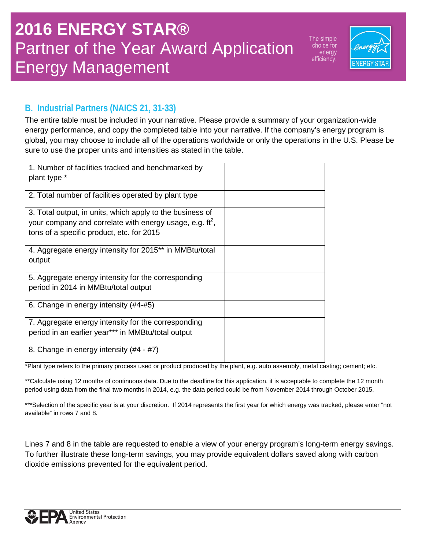The simple choice for energy efficiency.



## **B. Industrial Partners (NAICS 21, 31-33)**

The entire table must be included in your narrative. Please provide a summary of your organization-wide energy performance, and copy the completed table into your narrative. If the company's energy program is global, you may choose to include all of the operations worldwide or only the operations in the U.S. Please be sure to use the proper units and intensities as stated in the table.

| 1. Number of facilities tracked and benchmarked by<br>plant type *                                                                                                           |  |
|------------------------------------------------------------------------------------------------------------------------------------------------------------------------------|--|
| 2. Total number of facilities operated by plant type                                                                                                                         |  |
| 3. Total output, in units, which apply to the business of<br>your company and correlate with energy usage, e.g. $\text{ft}^2$ ,<br>tons of a specific product, etc. for 2015 |  |
| 4. Aggregate energy intensity for 2015** in MMBtu/total<br>output                                                                                                            |  |
| 5. Aggregate energy intensity for the corresponding                                                                                                                          |  |
| period in 2014 in MMBtu/total output                                                                                                                                         |  |
| 6. Change in energy intensity (#4-#5)                                                                                                                                        |  |
| 7. Aggregate energy intensity for the corresponding                                                                                                                          |  |
| period in an earlier year*** in MMBtu/total output                                                                                                                           |  |
| 8. Change in energy intensity (#4 - #7)                                                                                                                                      |  |

\*Plant type refers to the primary process used or product produced by the plant, e.g. auto assembly, metal casting; cement; etc.

\*\*Calculate using 12 months of continuous data. Due to the deadline for this application, it is acceptable to complete the 12 month period using data from the final two months in 2014, e.g. the data period could be from November 2014 through October 2015.

\*\*\*Selection of the specific year is at your discretion. If 2014 represents the first year for which energy was tracked, please enter "not available" in rows 7 and 8.

Lines 7 and 8 in the table are requested to enable a view of your energy program's long-term energy savings. To further illustrate these long-term savings, you may provide equivalent dollars saved along with carbon dioxide emissions prevented for the equivalent period.